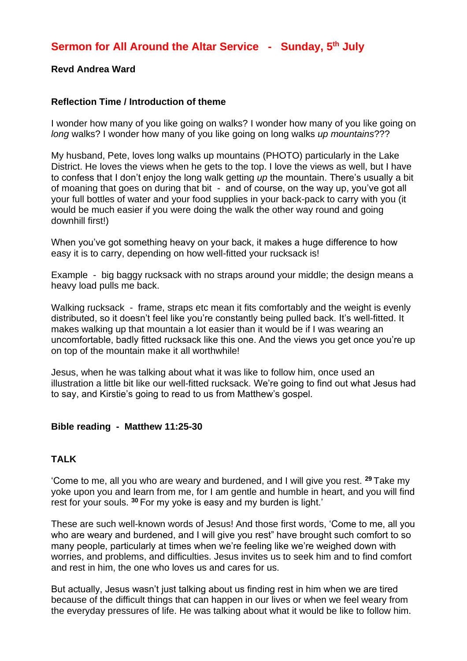## **Revd Andrea Ward**

## **Reflection Time / Introduction of theme**

I wonder how many of you like going on walks? I wonder how many of you like going on *long* walks? I wonder how many of you like going on long walks *up mountains*???

My husband, Pete, loves long walks up mountains (PHOTO) particularly in the Lake District. He loves the views when he gets to the top. I love the views as well, but I have to confess that I don't enjoy the long walk getting *up* the mountain. There's usually a bit of moaning that goes on during that bit - and of course, on the way up, you've got all your full bottles of water and your food supplies in your back-pack to carry with you (it would be much easier if you were doing the walk the other way round and going downhill first!)

When you've got something heavy on your back, it makes a huge difference to how easy it is to carry, depending on how well-fitted your rucksack is!

Example - big baggy rucksack with no straps around your middle; the design means a heavy load pulls me back.

Walking rucksack - frame, straps etc mean it fits comfortably and the weight is evenly distributed, so it doesn't feel like you're constantly being pulled back. It's well-fitted. It makes walking up that mountain a lot easier than it would be if I was wearing an uncomfortable, badly fitted rucksack like this one. And the views you get once you're up on top of the mountain make it all worthwhile!

Jesus, when he was talking about what it was like to follow him, once used an illustration a little bit like our well-fitted rucksack. We're going to find out what Jesus had to say, and Kirstie's going to read to us from Matthew's gospel.

## **Bible reading - Matthew 11:25-30**

## **TALK**

'Come to me, all you who are weary and burdened, and I will give you rest. **<sup>29</sup>** Take my yoke upon you and learn from me, for I am gentle and humble in heart, and you will find rest for your souls. **<sup>30</sup>** For my yoke is easy and my burden is light.'

These are such well-known words of Jesus! And those first words, 'Come to me, all you who are weary and burdened, and I will give you rest" have brought such comfort to so many people, particularly at times when we're feeling like we're weighed down with worries, and problems, and difficulties. Jesus invites us to seek him and to find comfort and rest in him, the one who loves us and cares for us.

But actually, Jesus wasn't just talking about us finding rest in him when we are tired because of the difficult things that can happen in our lives or when we feel weary from the everyday pressures of life. He was talking about what it would be like to follow him.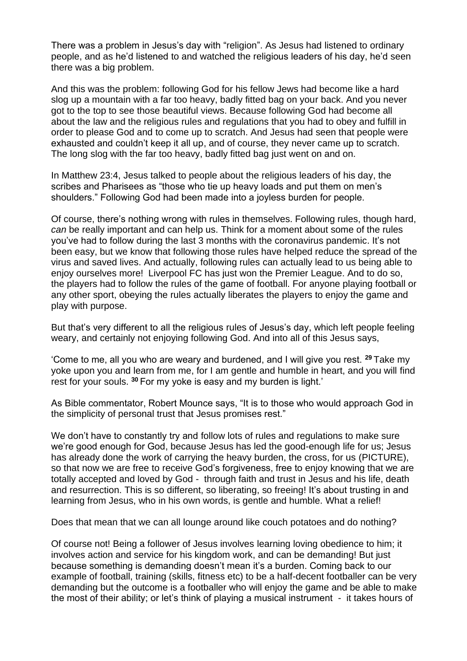There was a problem in Jesus's day with "religion". As Jesus had listened to ordinary people, and as he'd listened to and watched the religious leaders of his day, he'd seen there was a big problem.

And this was the problem: following God for his fellow Jews had become like a hard slog up a mountain with a far too heavy, badly fitted bag on your back. And you never got to the top to see those beautiful views. Because following God had become all about the law and the religious rules and regulations that you had to obey and fulfill in order to please God and to come up to scratch. And Jesus had seen that people were exhausted and couldn't keep it all up, and of course, they never came up to scratch. The long slog with the far too heavy, badly fitted bag just went on and on.

In Matthew 23:4, Jesus talked to people about the religious leaders of his day, the scribes and Pharisees as "those who tie up heavy loads and put them on men's shoulders." Following God had been made into a joyless burden for people.

Of course, there's nothing wrong with rules in themselves. Following rules, though hard, *can* be really important and can help us. Think for a moment about some of the rules you've had to follow during the last 3 months with the coronavirus pandemic. It's not been easy, but we know that following those rules have helped reduce the spread of the virus and saved lives. And actually, following rules can actually lead to us being able to enjoy ourselves more! Liverpool FC has just won the Premier League. And to do so, the players had to follow the rules of the game of football. For anyone playing football or any other sport, obeying the rules actually liberates the players to enjoy the game and play with purpose.

But that's very different to all the religious rules of Jesus's day, which left people feeling weary, and certainly not enjoying following God. And into all of this Jesus says,

'Come to me, all you who are weary and burdened, and I will give you rest. **<sup>29</sup>** Take my yoke upon you and learn from me, for I am gentle and humble in heart, and you will find rest for your souls. **<sup>30</sup>** For my yoke is easy and my burden is light.'

As Bible commentator, Robert Mounce says, "It is to those who would approach God in the simplicity of personal trust that Jesus promises rest."

We don't have to constantly try and follow lots of rules and regulations to make sure we're good enough for God, because Jesus has led the good-enough life for us; Jesus has already done the work of carrying the heavy burden, the cross, for us (PICTURE), so that now we are free to receive God's forgiveness, free to enjoy knowing that we are totally accepted and loved by God - through faith and trust in Jesus and his life, death and resurrection. This is so different, so liberating, so freeing! It's about trusting in and learning from Jesus, who in his own words, is gentle and humble. What a relief!

Does that mean that we can all lounge around like couch potatoes and do nothing?

Of course not! Being a follower of Jesus involves learning loving obedience to him; it involves action and service for his kingdom work, and can be demanding! But just because something is demanding doesn't mean it's a burden. Coming back to our example of football, training (skills, fitness etc) to be a half-decent footballer can be very demanding but the outcome is a footballer who will enjoy the game and be able to make the most of their ability; or let's think of playing a musical instrument - it takes hours of